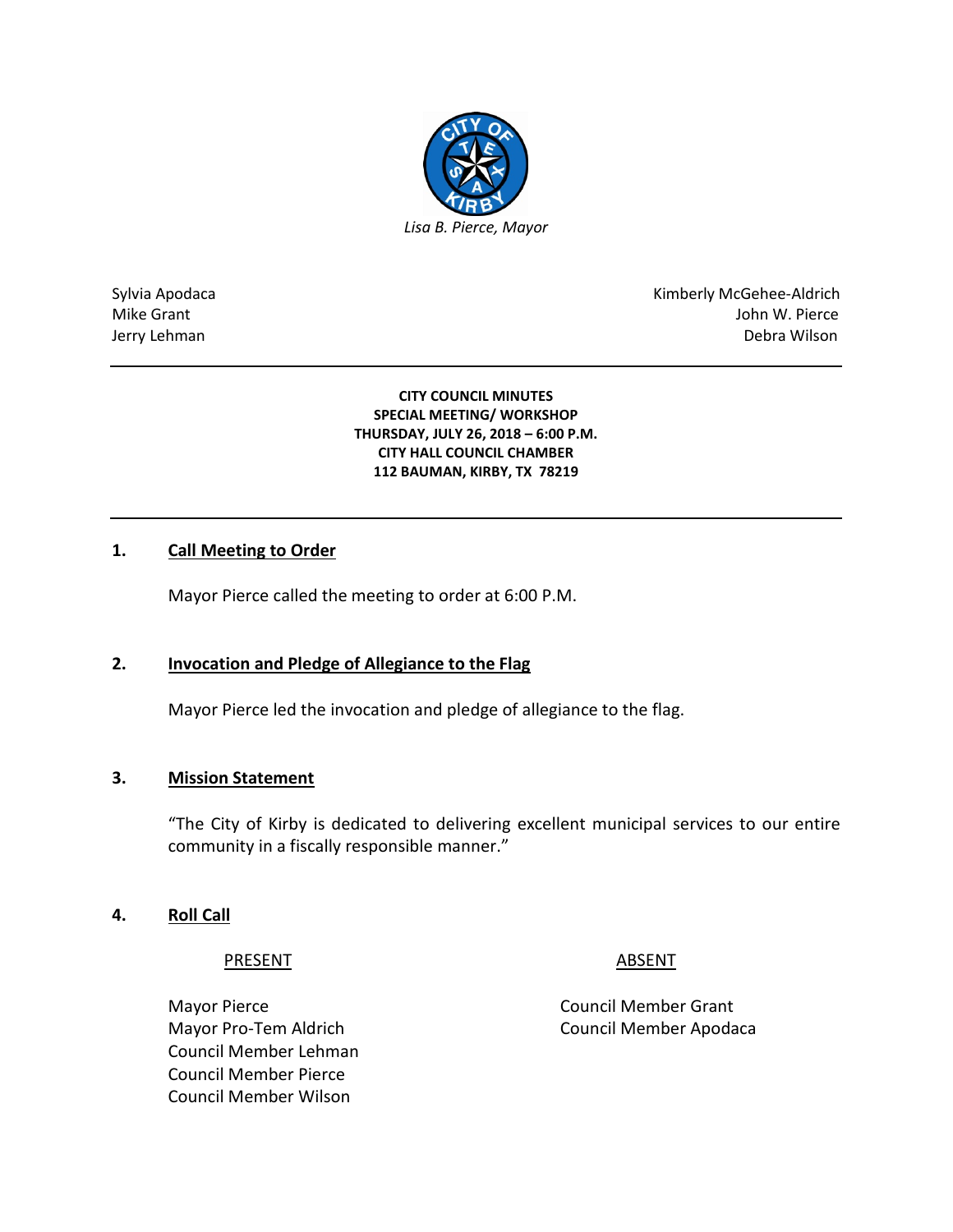

Sylvia Apodaca National Apodaca Kimberly McGehee-Aldrich Mike Grant John W. Pierce Jerry Lehman Debra Wilson

> **CITY COUNCIL MINUTES SPECIAL MEETING/ WORKSHOP THURSDAY, JULY 26, 2018 – 6:00 P.M. CITY HALL COUNCIL CHAMBER 112 BAUMAN, KIRBY, TX 78219**

# **1. Call Meeting to Order**

Mayor Pierce called the meeting to order at 6:00 P.M.

# **2. Invocation and Pledge of Allegiance to the Flag**

Mayor Pierce led the invocation and pledge of allegiance to the flag.

## **3. Mission Statement**

"The City of Kirby is dedicated to delivering excellent municipal services to our entire community in a fiscally responsible manner."

## **4. Roll Call**

## PRESENT ABSENT

Mayor Pierce **Council Member Grant** Council Member Lehman Council Member Pierce Council Member Wilson

Mayor Pro-Tem Aldrich Council Member Apodaca